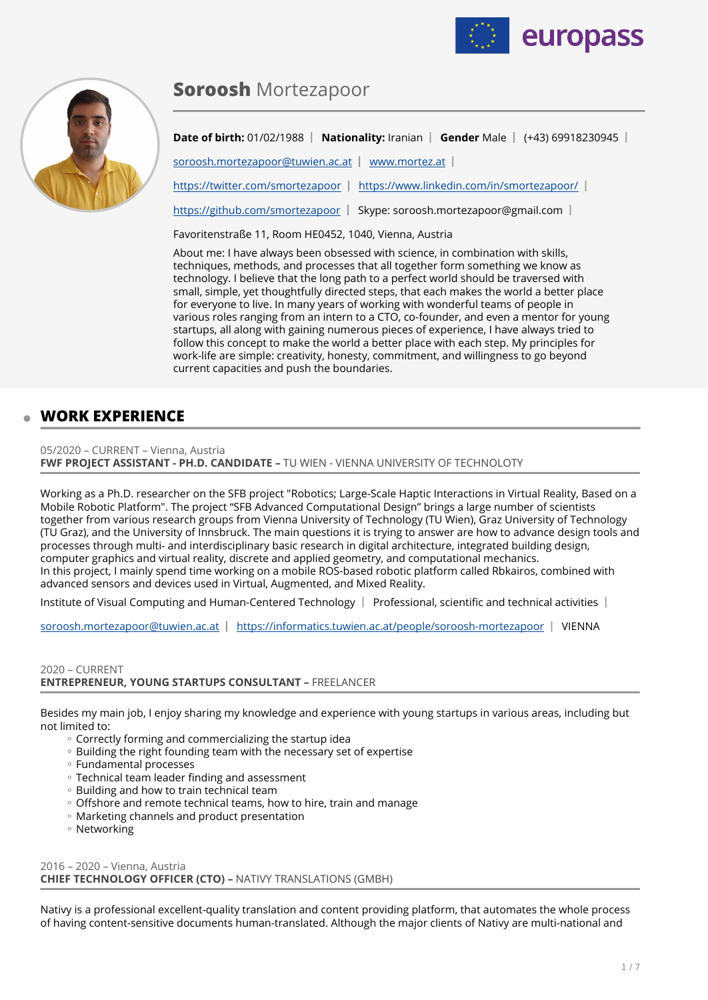



# **Soroosh** Mortezapoor

| <b>Nationality:</b> Iranian   Gender Male   (+43) 69918230945<br><b>Date of birth: 01/02/1988</b> |
|---------------------------------------------------------------------------------------------------|
| soroosh.mortezapoor@tuwien.ac.at www.mortez.at                                                    |
| https://twitter.com/smortezapoor   https://www.linkedin.com/in/smortezapoor/                      |
| Skype: soroosh.mortezapoor@gmail.com<br>https://github.com/smortezapoor                           |

Favoritenstraße 11, Room HE0452, 1040, Vienna, Austria

About me: I have always been obsessed with science, in combination with skills, techniques, methods, and processes that all together form something we know as technology. I believe that the long path to a perfect world should be traversed with small, simple, yet thoughtfully directed steps, that each makes the world a better place for everyone to live. In many years of working with wonderful teams of people in various roles ranging from an intern to a CTO, co-founder, and even a mentor for young startups, all along with gaining numerous pieces of experience, I have always tried to follow this concept to make the world a better place with each step. My principles for work-life are simple: creativity, honesty, commitment, and willingness to go beyond current capacities and push the boundaries.

# **WORK EXPERIENCE**

#### 05/2020 – CURRENT – Vienna, Austria **FWF PROJECT ASSISTANT - PH.D. CANDIDATE –** TU WIEN - VIENNA UNIVERSITY OF TECHNOLOTY

Working as a Ph.D. researcher on the SFB project "Robotics; Large-Scale Haptic Interactions in Virtual Reality, Based on a Mobile Robotic Platform". The project "SFB Advanced Computational Design" brings a large number of scientists together from various research groups from Vienna University of Technology (TU Wien), Graz University of Technology (TU Graz), and the University of Innsbruck. The main questions it is trying to answer are how to advance design tools and processes through multi- and interdisciplinary basic research in digital architecture, integrated building design, computer graphics and virtual reality, discrete and applied geometry, and computational mechanics. In this project, I mainly spend time working on a mobile ROS-based robotic platform called Rbkairos, combined with advanced sensors and devices used in Virtual, Augmented, and Mixed Reality.

Institute of Visual Computing and Human-Centered Technology | Professional, scientific and technical activities |

[soroosh.mortezapoor@tuwien.ac.at](mailto:soroosh.mortezapoor@tuwien.ac.at) | <https://informatics.tuwien.ac.at/people/soroosh-mortezapoor>| VIENNA

### 2020 – CURRENT **ENTREPRENEUR, YOUNG STARTUPS CONSULTANT –** FREELANCER

Besides my main job, I enjoy sharing my knowledge and experience with young startups in various areas, including but not limited to:

- Correctly forming and commercializing the startup idea ◦
- Building the right founding team with the necessary set of expertise
- Fundamental processes ◦
- Technical team leader finding and assessment ◦
- Building and how to train technical team
- Offshore and remote technical teams, how to hire, train and manage ◦
- Marketing channels and product presentation ◦
- Networking ◦

2016 – 2020 – Vienna, Austria **CHIEF TECHNOLOGY OFFICER (CTO) –** NATIVY TRANSLATIONS (GMBH)

Nativy is a professional excellent-quality translation and content providing platform, that automates the whole process of having content-sensitive documents human-translated. Although the major clients of Nativy are multi-national and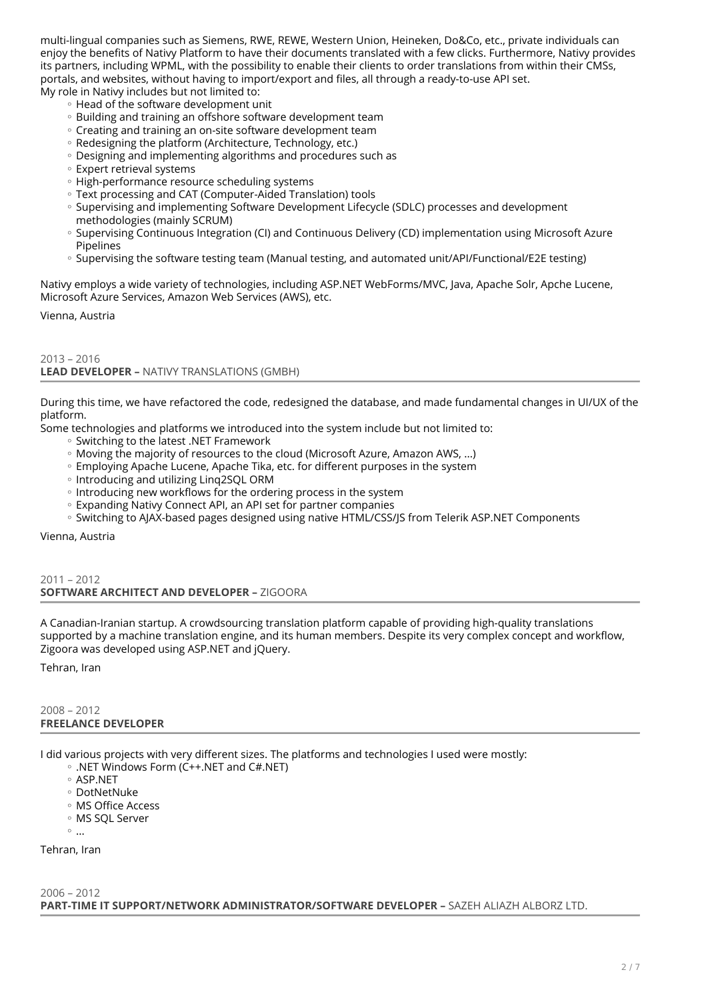multi-lingual companies such as Siemens, RWE, REWE, Western Union, Heineken, Do&Co, etc., private individuals can enjoy the benefits of Nativy Platform to have their documents translated with a few clicks. Furthermore, Nativy provides its partners, including WPML, with the possibility to enable their clients to order translations from within their CMSs, portals, and websites, without having to import/export and files, all through a ready-to-use API set. My role in Nativy includes but not limited to:

- Head of the software development unit
- Building and training an offshore software development team
- Creating and training an on-site software development team
- Redesigning the platform (Architecture, Technology, etc.)
- Designing and implementing algorithms and procedures such as ◦
- Expert retrieval systems ◦
- High-performance resource scheduling systems
- Text processing and CAT (Computer-Aided Translation) tools ◦
- Supervising and implementing Software Development Lifecycle (SDLC) processes and development methodologies (mainly SCRUM)
- Supervising Continuous Integration (CI) and Continuous Delivery (CD) implementation using Microsoft Azure Pipelines
- Supervising the software testing team (Manual testing, and automated unit/API/Functional/E2E testing)

Nativy employs a wide variety of technologies, including ASP.NET WebForms/MVC, Java, Apache Solr, Apche Lucene, Microsoft Azure Services, Amazon Web Services (AWS), etc.

Vienna, Austria

2013 – 2016 **LEAD DEVELOPER –** NATIVY TRANSLATIONS (GMBH)

During this time, we have refactored the code, redesigned the database, and made fundamental changes in UI/UX of the platform.

Some technologies and platforms we introduced into the system include but not limited to:

- Switching to the latest .NET Framework ◦
- Moving the majority of resources to the cloud (Microsoft Azure, Amazon AWS, ...)
- Employing Apache Lucene, Apache Tika, etc. for different purposes in the system
- Introducing and utilizing Linq2SQL ORM
- Introducing new workflows for the ordering process in the system
- Expanding Nativy Connect API, an API set for partner companies
- Switching to AJAX-based pages designed using native HTML/CSS/JS from Telerik ASP.NET Components

Vienna, Austria

#### 2011 – 2012 **SOFTWARE ARCHITECT AND DEVELOPER –** ZIGOORA

A Canadian-Iranian startup. A crowdsourcing translation platform capable of providing high-quality translations supported by a machine translation engine, and its human members. Despite its very complex concept and workflow, Zigoora was developed using ASP.NET and jQuery.

Tehran, Iran

### 2008 – 2012 **FREELANCE DEVELOPER**

I did various projects with very different sizes. The platforms and technologies I used were mostly:

- .NET Windows Form (C++.NET and C#.NET)
	- ASP.NET ◦
	- DotNetNuke ◦
	- MS Office Access ◦
	- MS SQL Server ◦

 $^{\circ}$  ... Tehran, Iran

2006 – 2012 **PART-TIME IT SUPPORT/NETWORK ADMINISTRATOR/SOFTWARE DEVELOPER –** SAZEH ALIAZH ALBORZ LTD.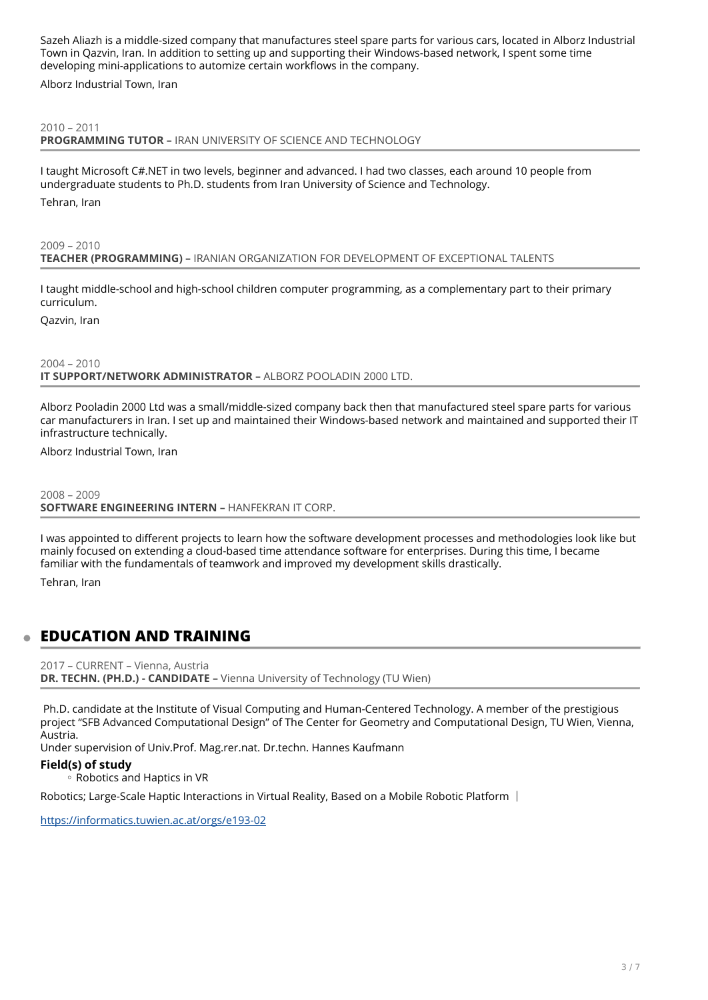Sazeh Aliazh is a middle-sized company that manufactures steel spare parts for various cars, located in Alborz Industrial Town in Qazvin, Iran. In addition to setting up and supporting their Windows-based network, I spent some time developing mini-applications to automize certain workflows in the company.

Alborz Industrial Town, Iran

### 2010 – 2011 **PROGRAMMING TUTOR –** IRAN UNIVERSITY OF SCIENCE AND TECHNOLOGY

I taught Microsoft C#.NET in two levels, beginner and advanced. I had two classes, each around 10 people from undergraduate students to Ph.D. students from Iran University of Science and Technology.

Tehran, Iran

### 2009 – 2010 **TEACHER (PROGRAMMING) –** IRANIAN ORGANIZATION FOR DEVELOPMENT OF EXCEPTIONAL TALENTS

I taught middle-school and high-school children computer programming, as a complementary part to their primary curriculum.

Qazvin, Iran

2004 – 2010 **IT SUPPORT/NETWORK ADMINISTRATOR –** ALBORZ POOLADIN 2000 LTD.

Alborz Pooladin 2000 Ltd was a small/middle-sized company back then that manufactured steel spare parts for various car manufacturers in Iran. I set up and maintained their Windows-based network and maintained and supported their IT infrastructure technically.

Alborz Industrial Town, Iran

### 2008 – 2009 **SOFTWARE ENGINEERING INTERN –** HANFEKRAN IT CORP.

I was appointed to different projects to learn how the software development processes and methodologies look like but mainly focused on extending a cloud-based time attendance software for enterprises. During this time, I became familiar with the fundamentals of teamwork and improved my development skills drastically.

Tehran, Iran

## **EDUCATION AND TRAINING**

2017 – CURRENT – Vienna, Austria **DR. TECHN. (PH.D.) - CANDIDATE –** Vienna University of Technology (TU Wien)

Ph.D. candidate at the Institute of Visual Computing and Human-Centered Technology. A member of the prestigious project "SFB Advanced Computational Design" of The Center for Geometry and Computational Design, TU Wien, Vienna, Austria.

Under supervision of Univ.Prof. Mag.rer.nat. Dr.techn. Hannes Kaufmann

### **Field(s) of study**

◦ Robotics and Haptics in VR

Robotics; Large-Scale Haptic Interactions in Virtual Reality, Based on a Mobile Robotic Platform

<https://informatics.tuwien.ac.at/orgs/e193-02>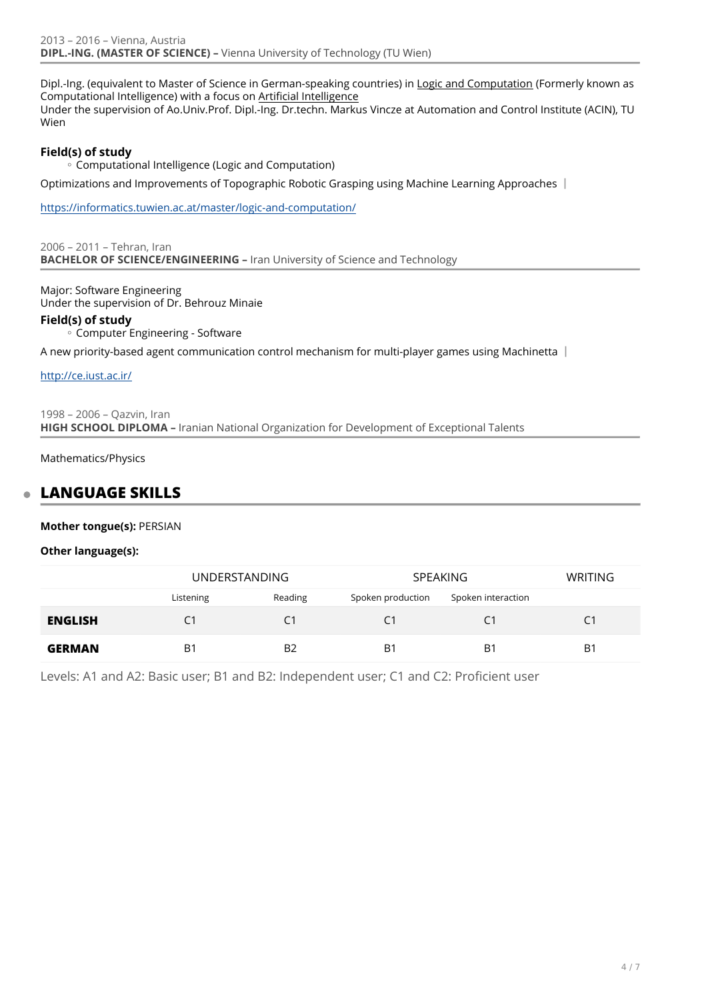Dipl.-Ing. (equivalent to Master of Science in German-speaking countries) in Logic and Computation (Formerly known as Computational Intelligence) with a focus on Artificial Intelligence Under the supervision of Ao.Univ.Prof. Dipl.-Ing. Dr.techn. Markus Vincze at Automation and Control Institute (ACIN), TU Wien

### **Field(s) of study**

Computational Intelligence (Logic and Computation) ◦

Optimizations and Improvements of Topographic Robotic Grasping using Machine Learning Approaches

<https://informatics.tuwien.ac.at/master/logic-and-computation/>

2006 – 2011 – Tehran, Iran **BACHELOR OF SCIENCE/ENGINEERING –** Iran University of Science and Technology

Major: Software Engineering Under the supervision of Dr. Behrouz Minaie

### **Field(s) of study**

Computer Engineering - Software ◦

A new priority-based agent communication control mechanism for multi-player games using Machinetta |

### <http://ce.iust.ac.ir/>

1998 – 2006 – Qazvin, Iran **HIGH SCHOOL DIPLOMA –** Iranian National Organization for Development of Exceptional Talents

Mathematics/Physics

# **LANGUAGE SKILLS**

**Mother tongue(s):** PERSIAN

**Other language(s):**

|                |                | UNDERSTANDING  |                   | <b>SPEAKING</b>    |                |
|----------------|----------------|----------------|-------------------|--------------------|----------------|
|                | Listening      | Reading        | Spoken production | Spoken interaction |                |
| <b>ENGLISH</b> | C <sub>1</sub> | C1             | C <sub>1</sub>    | C1                 | C <sub>1</sub> |
| <b>GERMAN</b>  | B <sub>1</sub> | B <sub>2</sub> | B <sub>1</sub>    | B <sub>1</sub>     | B <sub>1</sub> |

Levels: A1 and A2: Basic user; B1 and B2: Independent user; C1 and C2: Proficient user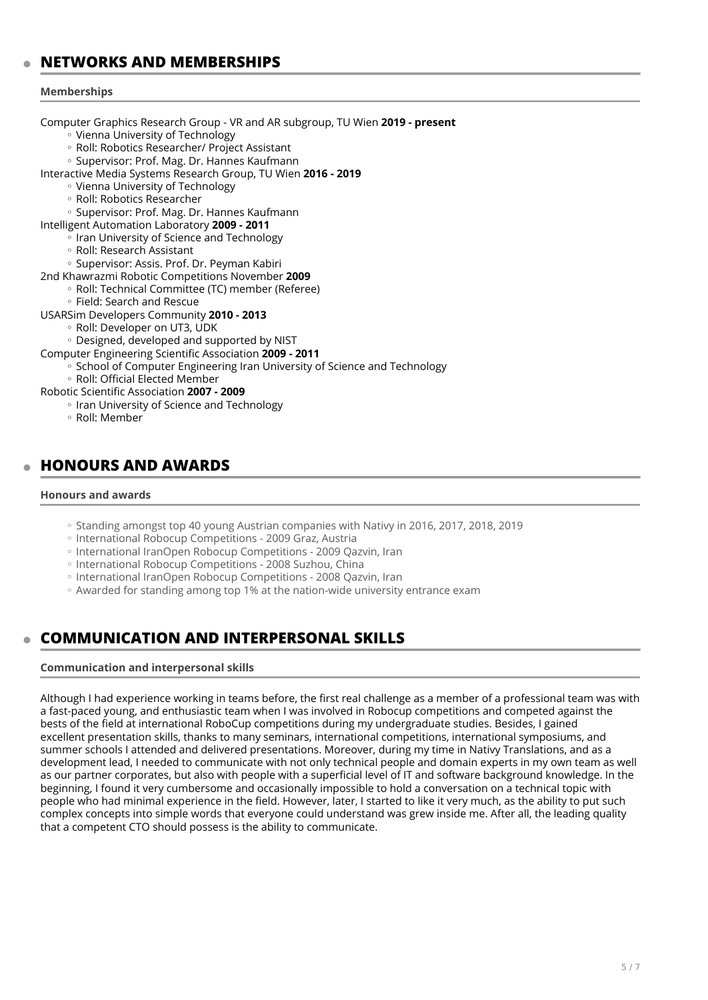### **NETWORKS AND MEMBERSHIPS**

### **Memberships**

Computer Graphics Research Group - VR and AR subgroup, TU Wien **2019 - present**

- Vienna University of Technology ◦
- Roll: Robotics Researcher/ Project Assistant
- Supervisor: Prof. Mag. Dr. Hannes Kaufmann
- Interactive Media Systems Research Group, TU Wien **2016 2019**
	- Vienna University of Technology ◦
	- Roll: Robotics Researcher
	- Supervisor: Prof. Mag. Dr. Hannes Kaufmann
- Intelligent Automation Laboratory **2009 2011**
	- Iran University of Science and Technology
	- Roll: Research Assistant ◦
	- Supervisor: Assis. Prof. Dr. Peyman Kabiri
- 2nd Khawrazmi Robotic Competitions November **2009**
	- Roll: Technical Committee (TC) member (Referee) ◦
	- Field: Search and Rescue ◦
- USARSim Developers Community **2010 2013**
	- Roll: Developer on UT3, UDK
	- Designed, developed and supported by NIST ◦
- Computer Engineering Scientific Association **2009 2011**
	- School of Computer Engineering Iran University of Science and Technology
	- Roll: Official Elected Member ◦
- Robotic Scientific Association **2007 2009**
	- Iran University of Science and Technology
	- Roll: Member ◦

### **HONOURS AND AWARDS**

### **Honours and awards**

- Standing amongst top 40 young Austrian companies with Nativy in 2016, 2017, 2018, 2019
- International Robocup Competitions 2009 Graz, Austria
- International IranOpen Robocup Competitions 2009 Qazvin, Iran
- International Robocup Competitions 2008 Suzhou, China
- International IranOpen Robocup Competitions 2008 Qazvin, Iran
- Awarded for standing among top 1% at the nation-wide university entrance exam

### **COMMUNICATION AND INTERPERSONAL SKILLS**

### **Communication and interpersonal skills**

Although I had experience working in teams before, the first real challenge as a member of a professional team was with a fast-paced young, and enthusiastic team when I was involved in Robocup competitions and competed against the bests of the field at international RoboCup competitions during my undergraduate studies. Besides, I gained excellent presentation skills, thanks to many seminars, international competitions, international symposiums, and summer schools I attended and delivered presentations. Moreover, during my time in Nativy Translations, and as a development lead, I needed to communicate with not only technical people and domain experts in my own team as well as our partner corporates, but also with people with a superficial level of IT and software background knowledge. In the beginning, I found it very cumbersome and occasionally impossible to hold a conversation on a technical topic with people who had minimal experience in the field. However, later, I started to like it very much, as the ability to put such complex concepts into simple words that everyone could understand was grew inside me. After all, the leading quality that a competent CTO should possess is the ability to communicate.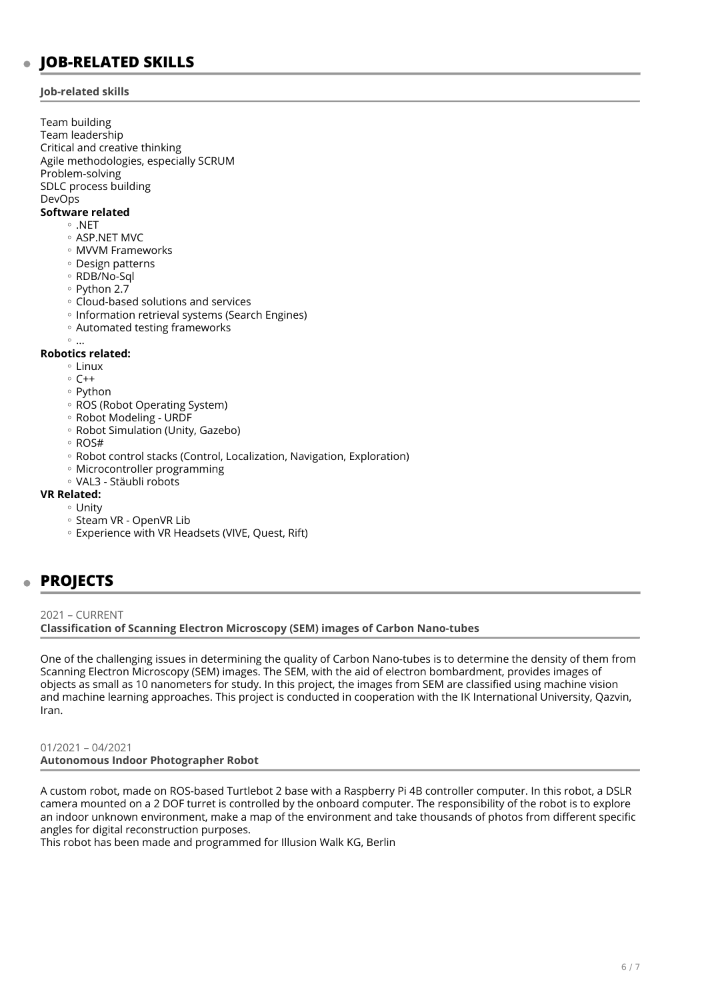### **Job-related skills**

Team building Team leadership Critical and creative thinking Agile methodologies, especially SCRUM Problem-solving SDLC process building DevOps **Software related** .NET ◦

- ASP.NET MVC ◦
- MVVM Frameworks ◦
- Design patterns ◦
- RDB/No-Sql ◦
- Python 2.7
- Cloud-based solutions and services ◦
- Information retrieval systems (Search Engines)
- Automated testing frameworks ◦

 $^{\circ}$  ...

### **Robotics related:**

- Linux ◦
- C++ ◦
- Python
- ROS (Robot Operating System)
- Robot Modeling URDF
- Robot Simulation (Unity, Gazebo)
- ROS# ◦
- Robot control stacks (Control, Localization, Navigation, Exploration) ◦
- Microcontroller programming ◦
- VAL3 Stäubli robots ◦
- **VR Related:**
	- Unity ◦
	- Steam VR OpenVR Lib
	- Experience with VR Headsets (VIVE, Quest, Rift) ◦

### **PROJECTS**

2021 – CURRENT **Classification of Scanning Electron Microscopy (SEM) images of Carbon Nano-tubes** 

One of the challenging issues in determining the quality of Carbon Nano-tubes is to determine the density of them from Scanning Electron Microscopy (SEM) images. The SEM, with the aid of electron bombardment, provides images of objects as small as 10 nanometers for study. In this project, the images from SEM are classified using machine vision and machine learning approaches. This project is conducted in cooperation with the IK International University, Qazvin, Iran.

01/2021 – 04/2021 **Autonomous Indoor Photographer Robot** 

A custom robot, made on ROS-based Turtlebot 2 base with a Raspberry Pi 4B controller computer. In this robot, a DSLR camera mounted on a 2 DOF turret is controlled by the onboard computer. The responsibility of the robot is to explore an indoor unknown environment, make a map of the environment and take thousands of photos from different specific angles for digital reconstruction purposes.

This robot has been made and programmed for Illusion Walk KG, Berlin